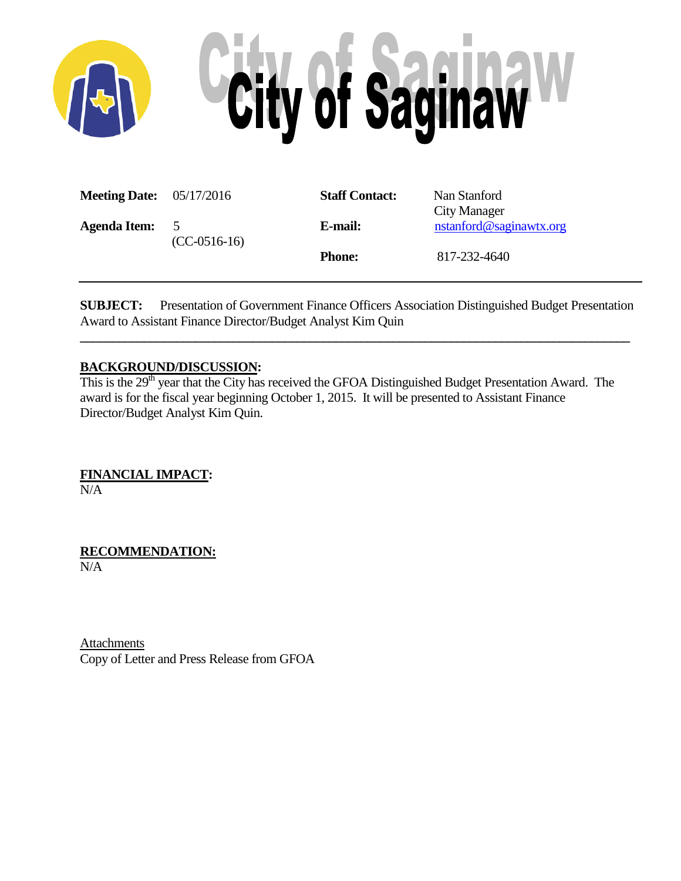

| <b>Meeting Date:</b> $05/17/2016$ |                                  | <b>Staff Contact:</b> | Nan Stanford<br>City Manager |
|-----------------------------------|----------------------------------|-----------------------|------------------------------|
| <b>Agenda Item:</b>               | 5 <sup>5</sup><br>$(CC-0516-16)$ | E-mail:               | nstanford@saginawtx.org      |
|                                   |                                  | <b>Phone:</b>         | 817-232-4640                 |

**SUBJECT:** Presentation of Government Finance Officers Association Distinguished Budget Presentation Award to Assistant Finance Director/Budget Analyst Kim Quin

**\_\_\_\_\_\_\_\_\_\_\_\_\_\_\_\_\_\_\_\_\_\_\_\_\_\_\_\_\_\_\_\_\_\_\_\_\_\_\_\_\_\_\_\_\_\_\_\_\_\_\_\_\_\_\_\_\_\_\_\_\_\_\_\_\_\_\_\_\_\_\_\_\_\_\_\_\_\_\_\_\_\_\_\_\_\_**

## **BACKGROUND/DISCUSSION:**

This is the 29<sup>th</sup> year that the City has received the GFOA Distinguished Budget Presentation Award. The award is for the fiscal year beginning October 1, 2015. It will be presented to Assistant Finance Director/Budget Analyst Kim Quin.

**FINANCIAL IMPACT:**

N/A

**RECOMMENDATION:** N/A

**Attachments** Copy of Letter and Press Release from GFOA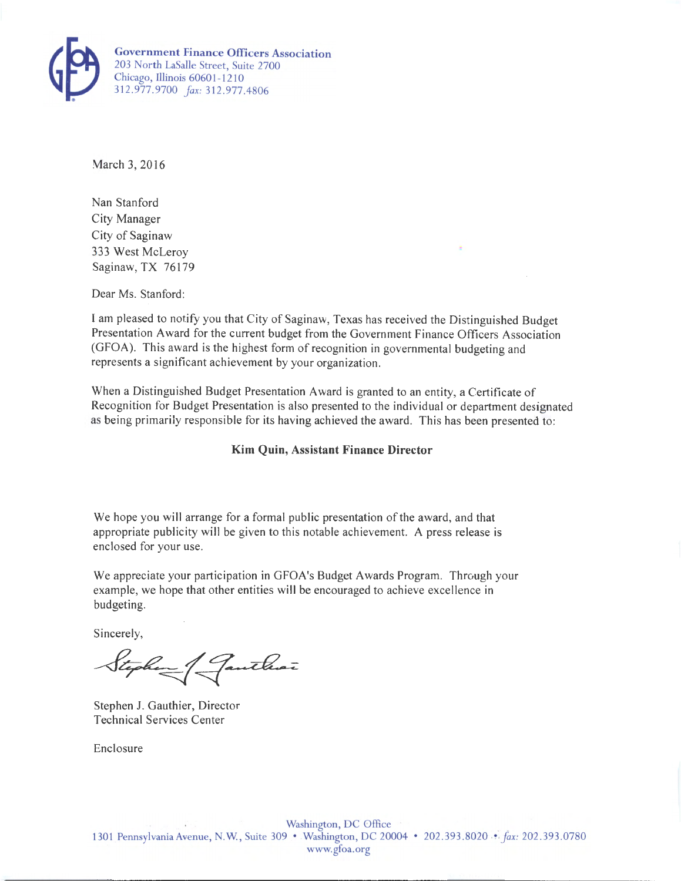

March 3, 2016

Nan Stanford City Manager City of Saginaw 333 West McLeroy Saginaw, TX 76179

Dear Ms. Stanford:

I am pleased to notify you that City of Saginaw, Texas has received the Distinguished Budget Presentation Award for the current budget from the Government Finance Officers Association (GFOA). This award is the highest form of recognition in governmental budgeting and represents a significant achievement by your organization.

When a Distinguished Budget Presentation Award is granted to an entity, a Certificate of Recognition for Budget Presentation is also presented to the individual or department designated as being primarily responsible for its having achieved the award. This has been presented to:

## **Kim Quin, Assistant Finance Director**

We hope you will arrange for a formal public presentation of the award, and that appropriate publicity will be given to this notable achievement. A press release is enclosed for your use.

We appreciate your participation in GFOA's Budget Awards Program. Through your example, we hope that other entities will be encouraged to achieve excellence in budgeting.

Sincerely,

Stephen Janthar

Stephen J. Gauthier, Director Technical Services Center

Enclosure